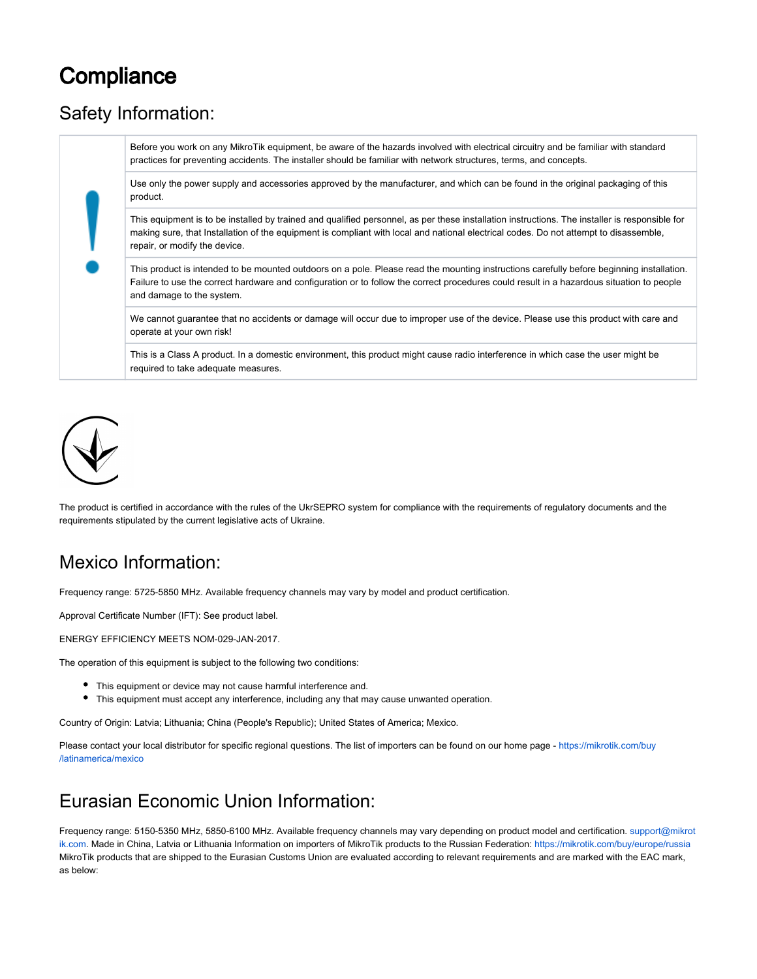# **Compliance**

## Safety Information:

Before you work on any MikroTik equipment, be aware of the hazards involved with electrical circuitry and be familiar with standard practices for preventing accidents. The installer should be familiar with network structures, terms, and concepts.

Use only the power supply and accessories approved by the manufacturer, and which can be found in the original packaging of this product.

This equipment is to be installed by trained and qualified personnel, as per these installation instructions. The installer is responsible for making sure, that Installation of the equipment is compliant with local and national electrical codes. Do not attempt to disassemble, repair, or modify the device.

This product is intended to be mounted outdoors on a pole. Please read the mounting instructions carefully before beginning installation. Failure to use the correct hardware and configuration or to follow the correct procedures could result in a hazardous situation to people and damage to the system.

We cannot guarantee that no accidents or damage will occur due to improper use of the device. Please use this product with care and operate at your own risk!

This is a Class A product. In a domestic environment, this product might cause radio interference in which case the user might be required to take adequate measures.



The product is certified in accordance with the rules of the UkrSEPRO system for compliance with the requirements of regulatory documents and the requirements stipulated by the current legislative acts of Ukraine.

## Mexico Information:

Frequency range: 5725-5850 MHz. Available frequency channels may vary by model and product certification.

Approval Certificate Number (IFT): See product label.

ENERGY EFFICIENCY MEETS NOM-029-JAN-2017.

The operation of this equipment is subject to the following two conditions:

- This equipment or device may not cause harmful interference and.
- This equipment must accept any interference, including any that may cause unwanted operation.

Country of Origin: Latvia; Lithuania; China (People's Republic); United States of America; Mexico.

Please contact your local distributor for specific regional questions. The list of importers can be found on our home page - [https://mikrotik.com/buy](https://mikrotik.com/buy/latinamerica/mexico) [/latinamerica/mexico](https://mikrotik.com/buy/latinamerica/mexico)

## Eurasian Economic Union Information:

Frequency range: 5150-5350 MHz, 5850-6100 MHz. Available frequency channels may vary depending on product model and certification. [support@mikrot](mailto:support@mikrotik.com) [ik.com.](mailto:support@mikrotik.com) Made in China, Latvia or Lithuania Information on importers of MikroTik products to the Russian Federation: <https://mikrotik.com/buy/europe/russia> MikroTik products that are shipped to the Eurasian Customs Union are evaluated according to relevant requirements and are marked with the EAC mark, as below: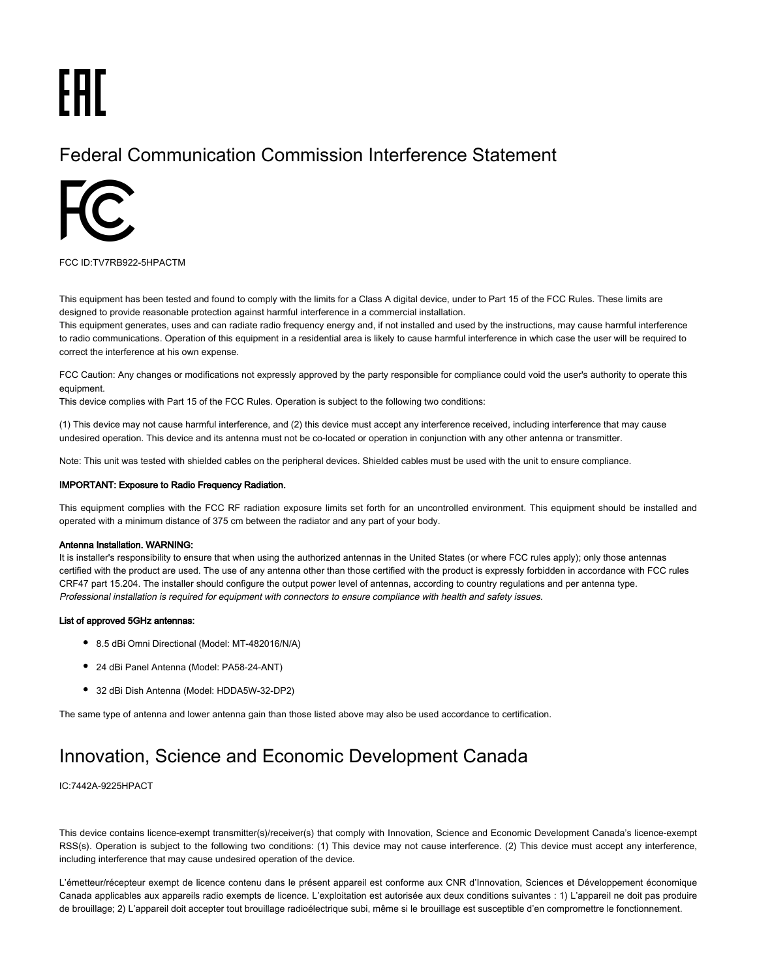# EAC

## Federal Communication Commission Interference Statement



FCC ID:TV7RB922-5HPACTM

This equipment has been tested and found to comply with the limits for a Class A digital device, under to Part 15 of the FCC Rules. These limits are designed to provide reasonable protection against harmful interference in a commercial installation.

This equipment generates, uses and can radiate radio frequency energy and, if not installed and used by the instructions, may cause harmful interference to radio communications. Operation of this equipment in a residential area is likely to cause harmful interference in which case the user will be required to correct the interference at his own expense.

FCC Caution: Any changes or modifications not expressly approved by the party responsible for compliance could void the user's authority to operate this equipment.

This device complies with Part 15 of the FCC Rules. Operation is subject to the following two conditions:

(1) This device may not cause harmful interference, and (2) this device must accept any interference received, including interference that may cause undesired operation. This device and its antenna must not be co-located or operation in conjunction with any other antenna or transmitter.

Note: This unit was tested with shielded cables on the peripheral devices. Shielded cables must be used with the unit to ensure compliance.

#### IMPORTANT: Exposure to Radio Frequency Radiation.

This equipment complies with the FCC RF radiation exposure limits set forth for an uncontrolled environment. This equipment should be installed and operated with a minimum distance of 375 cm between the radiator and any part of your body.

#### Antenna Installation. WARNING:

It is installer's responsibility to ensure that when using the authorized antennas in the United States (or where FCC rules apply); only those antennas certified with the product are used. The use of any antenna other than those certified with the product is expressly forbidden in accordance with FCC rules CRF47 part 15.204. The installer should configure the output power level of antennas, according to country regulations and per antenna type. Professional installation is required for equipment with connectors to ensure compliance with health and safety issues.

#### List of approved 5GHz antennas:

- 8.5 dBi Omni Directional (Model: MT-482016/N/A)
- 24 dBi Panel Antenna (Model: PA58-24-ANT)
- 32 dBi Dish Antenna (Model: HDDA5W-32-DP2)

The same type of antenna and lower antenna gain than those listed above may also be used accordance to certification.

## Innovation, Science and Economic Development Canada

#### IC:7442A-9225HPACT

This device contains licence-exempt transmitter(s)/receiver(s) that comply with Innovation, Science and Economic Development Canada's licence-exempt RSS(s). Operation is subject to the following two conditions: (1) This device may not cause interference. (2) This device must accept any interference, including interference that may cause undesired operation of the device.

L'émetteur/récepteur exempt de licence contenu dans le présent appareil est conforme aux CNR d'Innovation, Sciences et Développement économique Canada applicables aux appareils radio exempts de licence. L'exploitation est autorisée aux deux conditions suivantes : 1) L'appareil ne doit pas produire de brouillage; 2) L'appareil doit accepter tout brouillage radioélectrique subi, même si le brouillage est susceptible d'en compromettre le fonctionnement.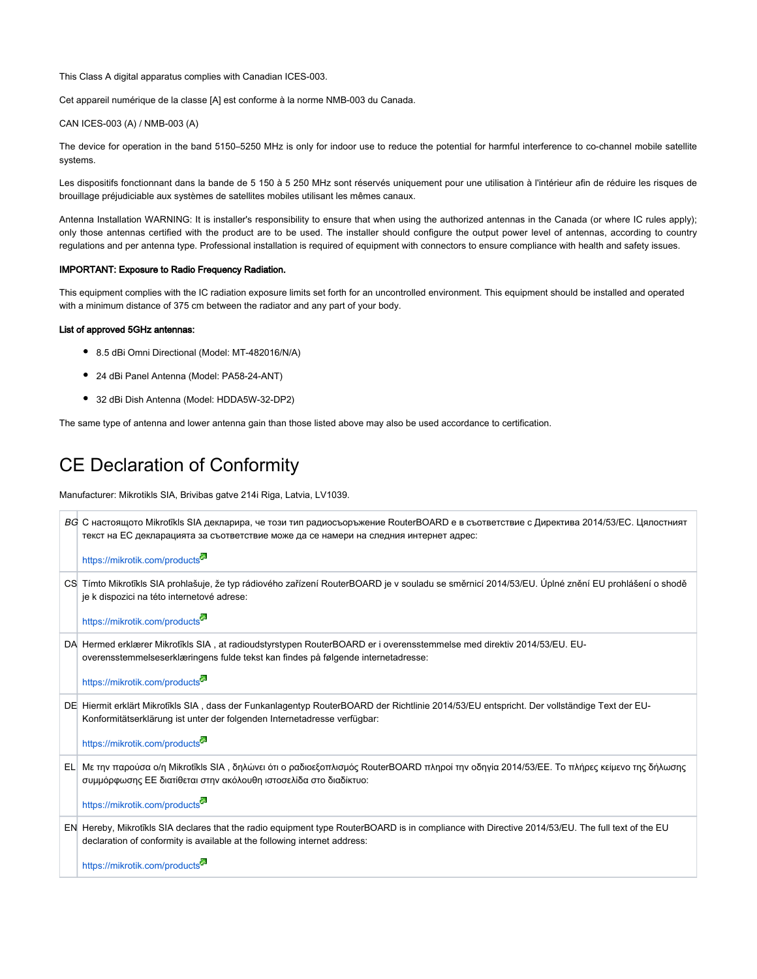This Class A digital apparatus complies with Canadian ICES-003.

Cet appareil numérique de la classe [A] est conforme à la norme NMB-003 du Canada.

#### CAN ICES-003 (A) / NMB-003 (A)

The device for operation in the band 5150–5250 MHz is only for indoor use to reduce the potential for harmful interference to co-channel mobile satellite systems.

Les dispositifs fonctionnant dans la bande de 5 150 à 5 250 MHz sont réservés uniquement pour une utilisation à l'intérieur afin de réduire les risques de brouillage préjudiciable aux systèmes de satellites mobiles utilisant les mêmes canaux.

Antenna Installation WARNING: It is installer's responsibility to ensure that when using the authorized antennas in the Canada (or where IC rules apply); only those antennas certified with the product are to be used. The installer should configure the output power level of antennas, according to country regulations and per antenna type. Professional installation is required of equipment with connectors to ensure compliance with health and safety issues.

#### IMPORTANT: Exposure to Radio Frequency Radiation.

This equipment complies with the IC radiation exposure limits set forth for an uncontrolled environment. This equipment should be installed and operated with a minimum distance of 375 cm between the radiator and any part of your body.

#### List of approved 5GHz antennas:

- 8.5 dBi Omni Directional (Model: MT-482016/N/A)
- 24 dBi Panel Antenna (Model: PA58-24-ANT)
- 32 dBi Dish Antenna (Model: HDDA5W-32-DP2)

The same type of antenna and lower antenna gain than those listed above may also be used accordance to certification.

## CE Declaration of Conformity

Manufacturer: Mikrotikls SIA, Brivibas gatve 214i Riga, Latvia, LV1039.

| ВС С настоящото Mikrotikls SIA декларира, че този тип радиосъоръжение RouterBOARD е в съответствие с Директива 2014/53/ЕС. Цялостният<br>текст на ЕС декларацията за съответствие може да се намери на следния интернет адрес: |
|--------------------------------------------------------------------------------------------------------------------------------------------------------------------------------------------------------------------------------|
| https://mikrotik.com/products                                                                                                                                                                                                  |
| CS Tímto Mikrotīkls SIA prohlašuje, že typ rádiového zařízení RouterBOARD je v souladu se směrnicí 2014/53/EU. Úplné znění EU prohlášení o shodě<br>je k dispozici na této internetové adrese:                                 |
| https://mikrotik.com/products <sup>22</sup>                                                                                                                                                                                    |
| DA Hermed erklærer Mikrotīkls SIA, at radioudstyrstypen RouterBOARD er i overensstemmelse med direktiv 2014/53/EU. EU-<br>overensstemmelseserklæringens fulde tekst kan findes på følgende internetadresse:                    |
| https://mikrotik.com/products                                                                                                                                                                                                  |
| DE Hiermit erklärt Mikrotīkls SIA, dass der Funkanlagentyp RouterBOARD der Richtlinie 2014/53/EU entspricht. Der vollständige Text der EU-<br>Konformitätserklärung ist unter der folgenden Internetadresse verfügbar:         |
| https://mikrotik.com/products <sup>32</sup>                                                                                                                                                                                    |
| EL Με την παρούσα ο/η Mikrotīkls SIA, δηλώνει ότι ο ραδιοεξοπλισμός RouterBOARD πληροί την οδηγία 2014/53/ΕΕ. Το πλήρες κείμενο της δήλωσης<br>συμμόρφωσης ΕΕ διατίθεται στην ακόλουθη ιστοσελίδα στο διαδίκτυο:               |
| https://mikrotik.com/products <sup>5</sup>                                                                                                                                                                                     |
| EN Hereby, Mikrotikls SIA declares that the radio equipment type RouterBOARD is in compliance with Directive 2014/53/EU. The full text of the EU<br>declaration of conformity is available at the following internet address:  |
| https://mikrotik.com/products                                                                                                                                                                                                  |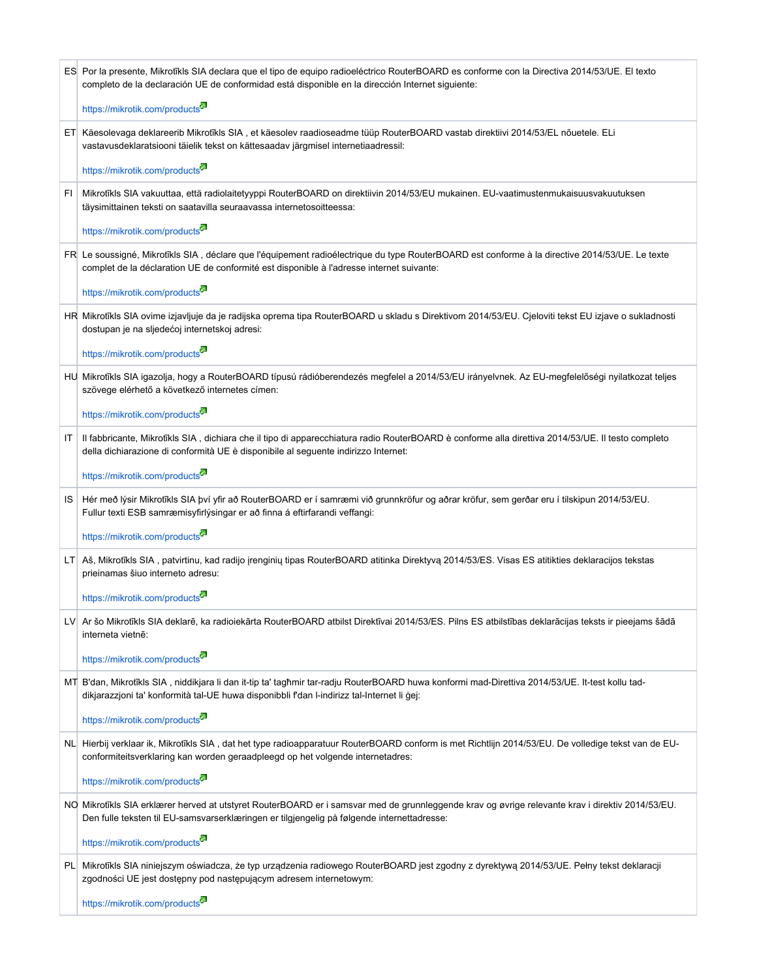|      | ES Por la presente, Mikrotīkls SIA declara que el tipo de equipo radioeléctrico RouterBOARD es conforme con la Directiva 2014/53/UE. El texto<br>completo de la declaración UE de conformidad está disponible en la dirección Internet siguiente: |  |  |  |
|------|---------------------------------------------------------------------------------------------------------------------------------------------------------------------------------------------------------------------------------------------------|--|--|--|
|      | https://mikrotik.com/products                                                                                                                                                                                                                     |  |  |  |
|      | ET Käesolevaga deklareerib Mikrotīkls SIA, et käesolev raadioseadme tüüp RouterBOARD vastab direktiivi 2014/53/EL nõuetele. ELi<br>vastavusdeklaratsiooni täielik tekst on kättesaadav järgmisel internetiaadressil:                              |  |  |  |
|      | https://mikrotik.com/products                                                                                                                                                                                                                     |  |  |  |
| FI   | Mikrotīkls SIA vakuuttaa, että radiolaitetyyppi RouterBOARD on direktiivin 2014/53/EU mukainen. EU-vaatimustenmukaisuusvakuutuksen<br>täysimittainen teksti on saatavilla seuraavassa internetosoitteessa:                                        |  |  |  |
|      | https://mikrotik.com/products                                                                                                                                                                                                                     |  |  |  |
|      | FR Le soussigné, Mikrotīkls SIA, déclare que l'équipement radioélectrique du type RouterBOARD est conforme à la directive 2014/53/UE. Le texte<br>complet de la déclaration UE de conformité est disponible à l'adresse internet suivante:        |  |  |  |
|      | https://mikrotik.com/products                                                                                                                                                                                                                     |  |  |  |
|      | HR Mikrotīkls SIA ovime izjavljuje da je radijska oprema tipa RouterBOARD u skladu s Direktivom 2014/53/EU. Cjeloviti tekst EU izjave o sukladnosti<br>dostupan je na sljedećoj internetskoj adresi:                                              |  |  |  |
|      | https://mikrotik.com/products <sup>53</sup>                                                                                                                                                                                                       |  |  |  |
|      | HU Mikrotīkls SIA igazolja, hogy a RouterBOARD típusú rádióberendezés megfelel a 2014/53/EU irányelvnek. Az EU-megfelelőségi nyilatkozat teljes<br>szövege elérhető a következő internetes címen:                                                 |  |  |  |
|      | https://mikrotik.com/products                                                                                                                                                                                                                     |  |  |  |
| IT   | Il fabbricante, Mikrotīkls SIA, dichiara che il tipo di apparecchiatura radio RouterBOARD è conforme alla direttiva 2014/53/UE. Il testo completo<br>della dichiarazione di conformità UE è disponibile al seguente indirizzo Internet:           |  |  |  |
|      | https://mikrotik.com/products                                                                                                                                                                                                                     |  |  |  |
| IS   | Hér með lýsir Mikrotīkls SIA því yfir að RouterBOARD er í samræmi við grunnkröfur og aðrar kröfur, sem gerðar eru í tilskipun 2014/53/EU.<br>Fullur texti ESB samræmisyfirlýsingar er að finna á eftirfarandi veffangi:                           |  |  |  |
|      | https://mikrotik.com/products                                                                                                                                                                                                                     |  |  |  |
| LT I | Aš, Mikrotīkls SIA, patvirtinu, kad radijo įrenginių tipas RouterBOARD atitinka Direktyvą 2014/53/ES. Visas ES atitikties deklaracijos tekstas<br>prieinamas šiuo interneto adresu:                                                               |  |  |  |
|      | https://mikrotik.com/products                                                                                                                                                                                                                     |  |  |  |
|      | LV Ar šo Mikrotīkls SIA deklarē, ka radioiekārta RouterBOARD atbilst Direktīvai 2014/53/ES. Pilns ES atbilstības deklarācijas teksts ir pieejams šādā<br>interneta vietnē:                                                                        |  |  |  |
|      | https://mikrotik.com/products                                                                                                                                                                                                                     |  |  |  |
|      | MT B'dan, Mikrotīkls SIA, niddikjara li dan it-tip ta' tagħmir tar-radju RouterBOARD huwa konformi mad-Direttiva 2014/53/UE. It-test kollu tad-<br>dikjarazzjoni ta' konformità tal-UE huwa disponibbli f'dan l-indirizz tal-Internet li gej:     |  |  |  |
|      | https://mikrotik.com/products                                                                                                                                                                                                                     |  |  |  |
|      | NL Hierbij verklaar ik, Mikrotīkls SIA, dat het type radioapparatuur RouterBOARD conform is met Richtlijn 2014/53/EU. De volledige tekst van de EU-<br>conformiteitsverklaring kan worden geraadpleegd op het volgende internetadres:             |  |  |  |
|      | https://mikrotik.com/products                                                                                                                                                                                                                     |  |  |  |
|      | NO Mikrotīkls SIA erklærer herved at utstyret RouterBOARD er i samsvar med de grunnleggende krav og øvrige relevante krav i direktiv 2014/53/EU.<br>Den fulle teksten til EU-samsvarserklæringen er tilgjengelig på følgende internettadresse:    |  |  |  |
|      | https://mikrotik.com/products                                                                                                                                                                                                                     |  |  |  |
|      | PL Mikrotīkls SIA niniejszym oświadcza, że typ urządzenia radiowego RouterBOARD jest zgodny z dyrektywą 2014/53/UE. Pełny tekst deklaracji<br>zgodności UE jest dostępny pod następującym adresem internetowym:                                   |  |  |  |
|      | https://mikrotik.com/products                                                                                                                                                                                                                     |  |  |  |